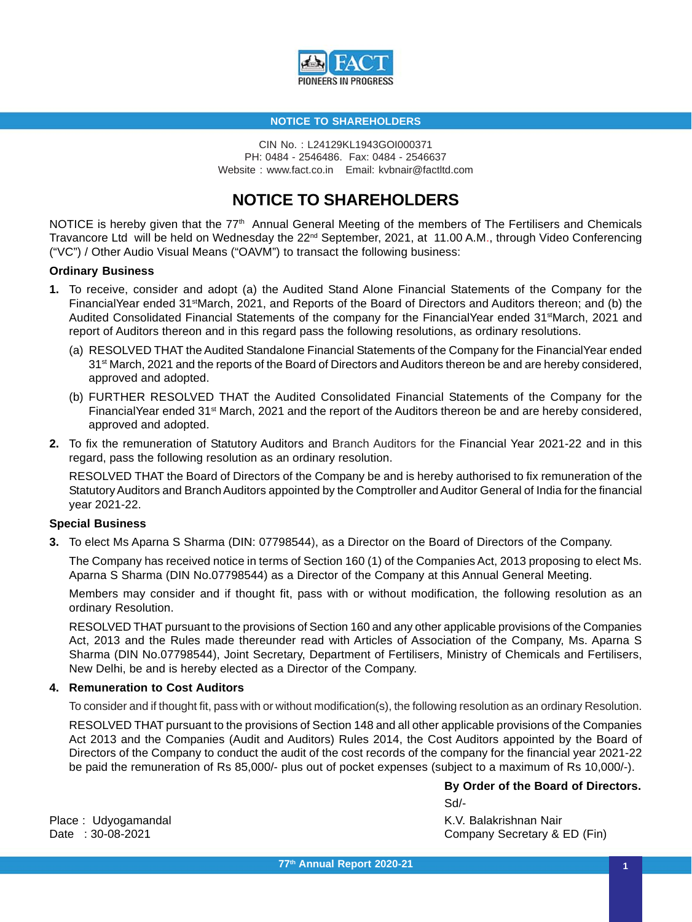

CIN No. : L24129KL1943GOI000371 PH: 0484 - 2546486. Fax: 0484 - 2546637 Website : www.fact.co.in Email: kvbnair@factltd.com

# **NOTICE TO SHAREHOLDERS**

NOTICE is hereby given that the 77<sup>th</sup> Annual General Meeting of the members of The Fertilisers and Chemicals Travancore Ltd will be held on Wednesday the 22nd September, 2021, at 11.00 A.M., through Video Conferencing ("VC") / Other Audio Visual Means ("OAVM") to transact the following business:

#### **Ordinary Business**

- **1.** To receive, consider and adopt (a) the Audited Stand Alone Financial Statements of the Company for the FinancialYear ended 31<sup>st</sup>March, 2021, and Reports of the Board of Directors and Auditors thereon; and (b) the Audited Consolidated Financial Statements of the company for the FinancialYear ended 31<sup>st</sup>March, 2021 and report of Auditors thereon and in this regard pass the following resolutions, as ordinary resolutions.
	- (a) RESOLVED THAT the Audited Standalone Financial Statements of the Company for the FinancialYear ended 31<sup>st</sup> March, 2021 and the reports of the Board of Directors and Auditors thereon be and are hereby considered, approved and adopted.
	- (b) FURTHER RESOLVED THAT the Audited Consolidated Financial Statements of the Company for the FinancialYear ended 31<sup>st</sup> March, 2021 and the report of the Auditors thereon be and are hereby considered, approved and adopted.
- **2.** To fix the remuneration of Statutory Auditors and Branch Auditors for the Financial Year 2021-22 and in this regard, pass the following resolution as an ordinary resolution.

RESOLVED THAT the Board of Directors of the Company be and is hereby authorised to fix remuneration of the Statutory Auditors and Branch Auditors appointed by the Comptroller and Auditor General of India for the financial year 2021-22.

## **Special Business**

**3.** To elect Ms Aparna S Sharma (DIN: 07798544), as a Director on the Board of Directors of the Company.

The Company has received notice in terms of Section 160 (1) of the Companies Act, 2013 proposing to elect Ms. Aparna S Sharma (DIN No.07798544) as a Director of the Company at this Annual General Meeting.

Members may consider and if thought fit, pass with or without modification, the following resolution as an ordinary Resolution.

RESOLVED THAT pursuant to the provisions of Section 160 and any other applicable provisions of the Companies Act, 2013 and the Rules made thereunder read with Articles of Association of the Company, Ms. Aparna S Sharma (DIN No.07798544), Joint Secretary, Department of Fertilisers, Ministry of Chemicals and Fertilisers, New Delhi, be and is hereby elected as a Director of the Company.

#### **4. Remuneration to Cost Auditors**

To consider and if thought fit, pass with or without modification(s), the following resolution as an ordinary Resolution.

RESOLVED THAT pursuant to the provisions of Section 148 and all other applicable provisions of the Companies Act 2013 and the Companies (Audit and Auditors) Rules 2014, the Cost Auditors appointed by the Board of Directors of the Company to conduct the audit of the cost records of the company for the financial year 2021-22 be paid the remuneration of Rs 85,000/- plus out of pocket expenses (subject to a maximum of Rs 10,000/-).

> **By Order of the Board of Directors.** Sd/-

Place : Udvogamandal National Communication of the Mathematic Method Communication of the Mathematic Method Co Date : 30-08-2021 Company Secretary & ED (Fin)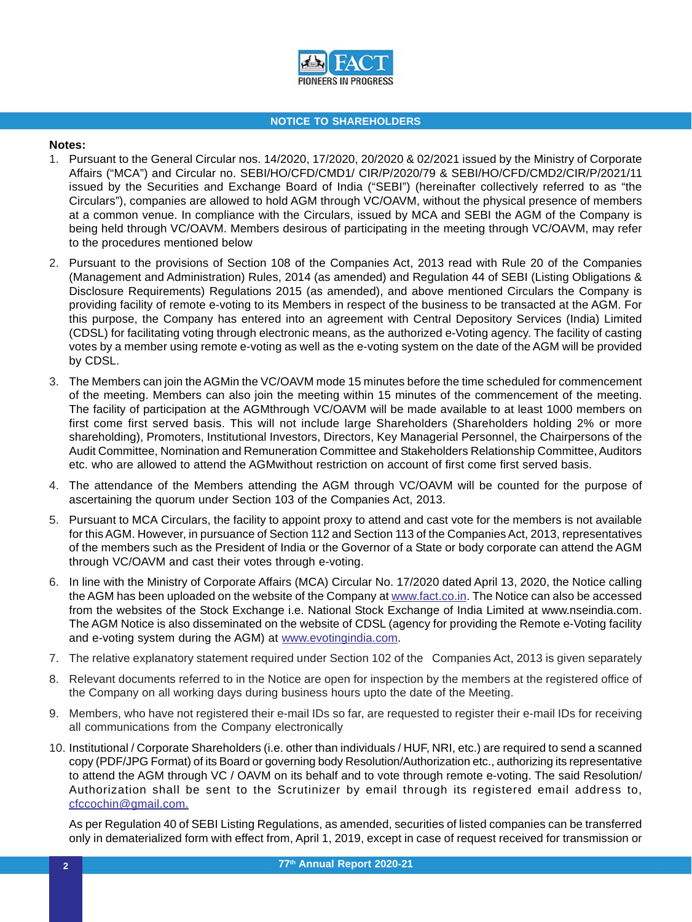

## **Notes:**

- 1. Pursuant to the General Circular nos. 14/2020, 17/2020, 20/2020 & 02/2021 issued by the Ministry of Corporate Affairs ("MCA") and Circular no. SEBI/HO/CFD/CMD1/ CIR/P/2020/79 & SEBI/HO/CFD/CMD2/CIR/P/2021/11 issued by the Securities and Exchange Board of India ("SEBI") (hereinafter collectively referred to as "the Circulars"), companies are allowed to hold AGM through VC/OAVM, without the physical presence of members at a common venue. In compliance with the Circulars, issued by MCA and SEBI the AGM of the Company is being held through VC/OAVM. Members desirous of participating in the meeting through VC/OAVM, may refer to the procedures mentioned below
- 2. Pursuant to the provisions of Section 108 of the Companies Act, 2013 read with Rule 20 of the Companies (Management and Administration) Rules, 2014 (as amended) and Regulation 44 of SEBI (Listing Obligations & Disclosure Requirements) Regulations 2015 (as amended), and above mentioned Circulars the Company is providing facility of remote e-voting to its Members in respect of the business to be transacted at the AGM. For this purpose, the Company has entered into an agreement with Central Depository Services (India) Limited (CDSL) for facilitating voting through electronic means, as the authorized e-Voting agency. The facility of casting votes by a member using remote e-voting as well as the e-voting system on the date of the AGM will be provided by CDSL.
- 3. The Members can join the AGMin the VC/OAVM mode 15 minutes before the time scheduled for commencement of the meeting. Members can also join the meeting within 15 minutes of the commencement of the meeting. The facility of participation at the AGMthrough VC/OAVM will be made available to at least 1000 members on first come first served basis. This will not include large Shareholders (Shareholders holding 2% or more shareholding), Promoters, Institutional Investors, Directors, Key Managerial Personnel, the Chairpersons of the Audit Committee, Nomination and Remuneration Committee and Stakeholders Relationship Committee, Auditors etc. who are allowed to attend the AGMwithout restriction on account of first come first served basis.
- 4. The attendance of the Members attending the AGM through VC/OAVM will be counted for the purpose of ascertaining the quorum under Section 103 of the Companies Act, 2013.
- 5. Pursuant to MCA Circulars, the facility to appoint proxy to attend and cast vote for the members is not available for this AGM. However, in pursuance of Section 112 and Section 113 of the Companies Act, 2013, representatives of the members such as the President of India or the Governor of a State or body corporate can attend the AGM through VC/OAVM and cast their votes through e-voting.
- 6. In line with the Ministry of Corporate Affairs (MCA) Circular No. 17/2020 dated April 13, 2020, the Notice calling the AGM has been uploaded on the website of the Company at www.fact.co.in. The Notice can also be accessed from the websites of the Stock Exchange i.e. National Stock Exchange of India Limited at www.nseindia.com. The AGM Notice is also disseminated on the website of CDSL (agency for providing the Remote e-Voting facility and e-voting system during the AGM) at www.evotingindia.com.
- 7. The relative explanatory statement required under Section 102 of the Companies Act, 2013 is given separately
- 8. Relevant documents referred to in the Notice are open for inspection by the members at the registered office of the Company on all working days during business hours upto the date of the Meeting.
- 9. Members, who have not registered their e-mail IDs so far, are requested to register their e-mail IDs for receiving all communications from the Company electronically
- 10. Institutional / Corporate Shareholders (i.e. other than individuals / HUF, NRI, etc.) are required to send a scanned copy (PDF/JPG Format) of its Board or governing body Resolution/Authorization etc., authorizing its representative to attend the AGM through VC / OAVM on its behalf and to vote through remote e-voting. The said Resolution/ Authorization shall be sent to the Scrutinizer by email through its registered email address to, cfccochin@gmail.com.

As per Regulation 40 of SEBI Listing Regulations, as amended, securities of listed companies can be transferred only in dematerialized form with effect from, April 1, 2019, except in case of request received for transmission or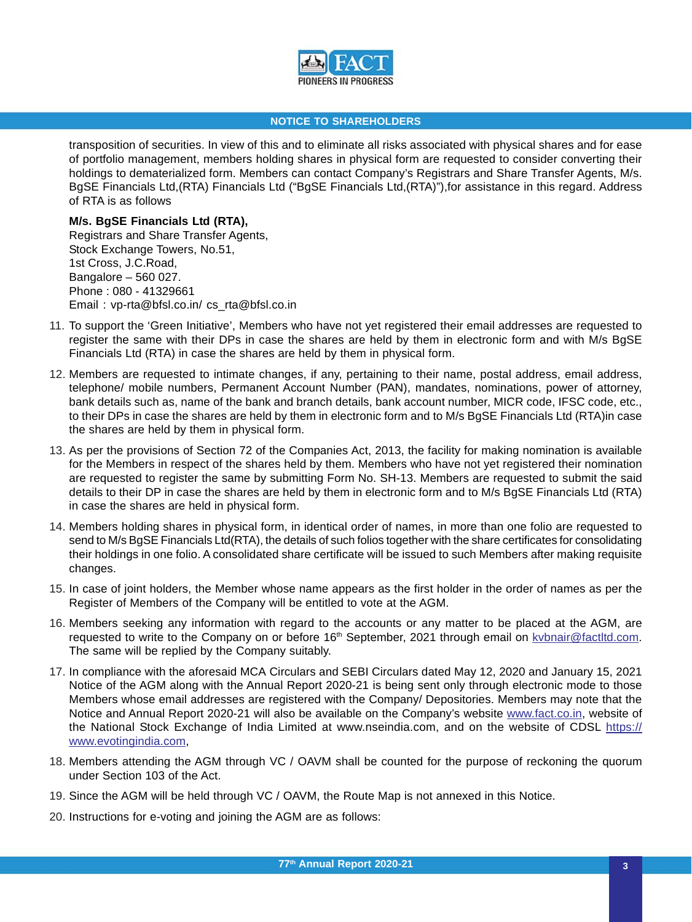

transposition of securities. In view of this and to eliminate all risks associated with physical shares and for ease of portfolio management, members holding shares in physical form are requested to consider converting their holdings to dematerialized form. Members can contact Company's Registrars and Share Transfer Agents, M/s. BgSE Financials Ltd,(RTA) Financials Ltd ("BgSE Financials Ltd,(RTA)"),for assistance in this regard. Address of RTA is as follows

**M/s. BgSE Financials Ltd (RTA),** Registrars and Share Transfer Agents, Stock Exchange Towers, No.51, 1st Cross, J.C.Road, Bangalore – 560 027. Phone : 080 - 41329661 Email : vp-rta@bfsl.co.in/ cs\_rta@bfsl.co.in

- 11. To support the 'Green Initiative', Members who have not yet registered their email addresses are requested to register the same with their DPs in case the shares are held by them in electronic form and with M/s BgSE Financials Ltd (RTA) in case the shares are held by them in physical form.
- 12. Members are requested to intimate changes, if any, pertaining to their name, postal address, email address, telephone/ mobile numbers, Permanent Account Number (PAN), mandates, nominations, power of attorney, bank details such as, name of the bank and branch details, bank account number, MICR code, IFSC code, etc., to their DPs in case the shares are held by them in electronic form and to M/s BgSE Financials Ltd (RTA)in case the shares are held by them in physical form.
- 13. As per the provisions of Section 72 of the Companies Act, 2013, the facility for making nomination is available for the Members in respect of the shares held by them. Members who have not yet registered their nomination are requested to register the same by submitting Form No. SH-13. Members are requested to submit the said details to their DP in case the shares are held by them in electronic form and to M/s BgSE Financials Ltd (RTA) in case the shares are held in physical form.
- 14. Members holding shares in physical form, in identical order of names, in more than one folio are requested to send to M/s BgSE Financials Ltd(RTA), the details of such folios together with the share certificates for consolidating their holdings in one folio. A consolidated share certificate will be issued to such Members after making requisite changes.
- 15. In case of joint holders, the Member whose name appears as the first holder in the order of names as per the Register of Members of the Company will be entitled to vote at the AGM.
- 16. Members seeking any information with regard to the accounts or any matter to be placed at the AGM, are requested to write to the Company on or before 16<sup>th</sup> September, 2021 through email on kybnair@factltd.com. The same will be replied by the Company suitably.
- 17. In compliance with the aforesaid MCA Circulars and SEBI Circulars dated May 12, 2020 and January 15, 2021 Notice of the AGM along with the Annual Report 2020-21 is being sent only through electronic mode to those Members whose email addresses are registered with the Company/ Depositories. Members may note that the Notice and Annual Report 2020-21 will also be available on the Company's website www.fact.co.in, website of the National Stock Exchange of India Limited at www.nseindia.com, and on the website of CDSL https:// www.evotingindia.com,
- 18. Members attending the AGM through VC / OAVM shall be counted for the purpose of reckoning the quorum under Section 103 of the Act.
- 19. Since the AGM will be held through VC / OAVM, the Route Map is not annexed in this Notice.
- 20. Instructions for e-voting and joining the AGM are as follows: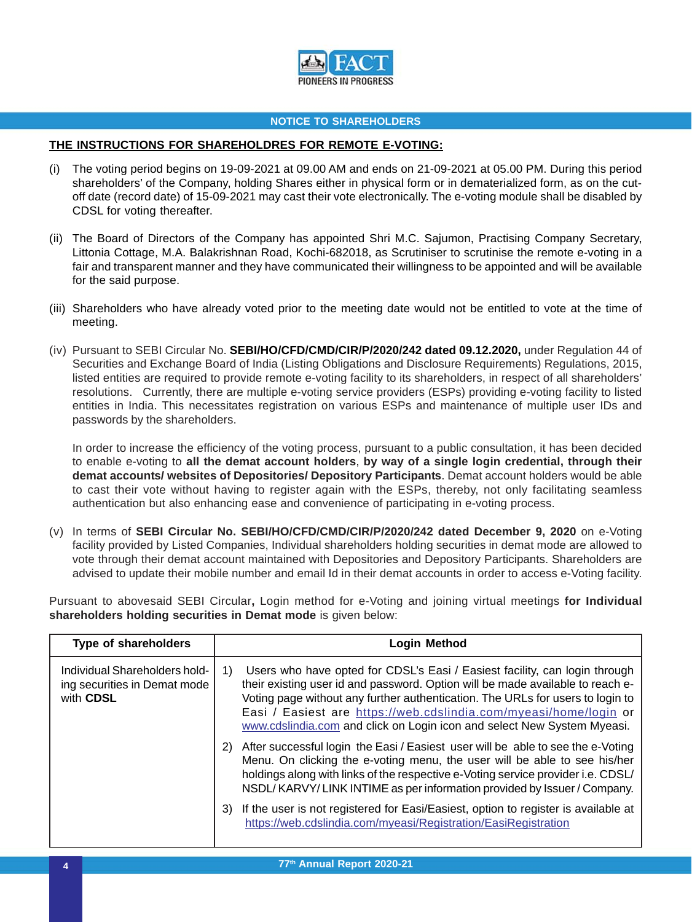

## **THE INSTRUCTIONS FOR SHAREHOLDRES FOR REMOTE E-VOTING:**

- (i) The voting period begins on 19-09-2021 at 09.00 AM and ends on 21-09-2021 at 05.00 PM. During this period shareholders' of the Company, holding Shares either in physical form or in dematerialized form, as on the cutoff date (record date) of 15-09-2021 may cast their vote electronically. The e-voting module shall be disabled by CDSL for voting thereafter.
- (ii) The Board of Directors of the Company has appointed Shri M.C. Sajumon, Practising Company Secretary, Littonia Cottage, M.A. Balakrishnan Road, Kochi-682018, as Scrutiniser to scrutinise the remote e-voting in a fair and transparent manner and they have communicated their willingness to be appointed and will be available for the said purpose.
- (iii) Shareholders who have already voted prior to the meeting date would not be entitled to vote at the time of meeting.
- (iv) Pursuant to SEBI Circular No. **SEBI/HO/CFD/CMD/CIR/P/2020/242 dated 09.12.2020,** under Regulation 44 of Securities and Exchange Board of India (Listing Obligations and Disclosure Requirements) Regulations, 2015, listed entities are required to provide remote e-voting facility to its shareholders, in respect of all shareholders' resolutions. Currently, there are multiple e-voting service providers (ESPs) providing e-voting facility to listed entities in India. This necessitates registration on various ESPs and maintenance of multiple user IDs and passwords by the shareholders.

In order to increase the efficiency of the voting process, pursuant to a public consultation, it has been decided to enable e-voting to **all the demat account holders**, **by way of a single login credential, through their demat accounts/ websites of Depositories/ Depository Participants**. Demat account holders would be able to cast their vote without having to register again with the ESPs, thereby, not only facilitating seamless authentication but also enhancing ease and convenience of participating in e-voting process.

(v) In terms of **SEBI Circular No. SEBI/HO/CFD/CMD/CIR/P/2020/242 dated December 9, 2020** on e-Voting facility provided by Listed Companies, Individual shareholders holding securities in demat mode are allowed to vote through their demat account maintained with Depositories and Depository Participants. Shareholders are advised to update their mobile number and email Id in their demat accounts in order to access e-Voting facility.

Pursuant to abovesaid SEBI Circular**,** Login method for e-Voting and joining virtual meetings **for Individual shareholders holding securities in Demat mode** is given below:

| <b>Type of shareholders</b>                                                | <b>Login Method</b>                                                                                                                                                                                                                                                                                                                                                                                  |
|----------------------------------------------------------------------------|------------------------------------------------------------------------------------------------------------------------------------------------------------------------------------------------------------------------------------------------------------------------------------------------------------------------------------------------------------------------------------------------------|
| Individual Shareholders hold-<br>ing securities in Demat mode<br>with CDSL | Users who have opted for CDSL's Easi / Easiest facility, can login through<br>1)<br>their existing user id and password. Option will be made available to reach e-<br>Voting page without any further authentication. The URLs for users to login to<br>Easi / Easiest are https://web.cdslindia.com/myeasi/home/login or<br>www.cdslindia.com and click on Login icon and select New System Myeasi. |
|                                                                            | After successful login the Easi / Easiest user will be able to see the e-Voting<br>2)<br>Menu. On clicking the e-voting menu, the user will be able to see his/her<br>holdings along with links of the respective e-Voting service provider i.e. CDSL/<br>NSDL/KARVY/LINK INTIME as per information provided by Issuer / Company.                                                                    |
|                                                                            | If the user is not registered for Easi/Easiest, option to register is available at<br>3)<br>https://web.cdslindia.com/myeasi/Registration/EasiRegistration                                                                                                                                                                                                                                           |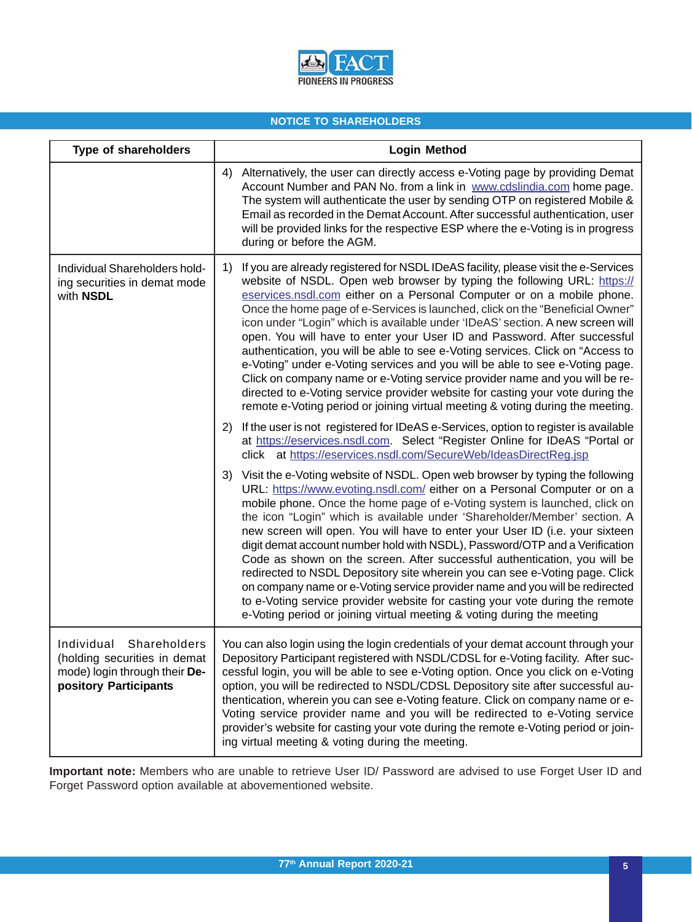

| Type of shareholders                                                                                                 | <b>Login Method</b>                                                                                                                                                                                                                                                                                                                                                                                                                                                                                                                                                                                                                                                                                                                                                                                                                                                                                               |  |
|----------------------------------------------------------------------------------------------------------------------|-------------------------------------------------------------------------------------------------------------------------------------------------------------------------------------------------------------------------------------------------------------------------------------------------------------------------------------------------------------------------------------------------------------------------------------------------------------------------------------------------------------------------------------------------------------------------------------------------------------------------------------------------------------------------------------------------------------------------------------------------------------------------------------------------------------------------------------------------------------------------------------------------------------------|--|
|                                                                                                                      | Alternatively, the user can directly access e-Voting page by providing Demat<br>4)<br>Account Number and PAN No. from a link in www.cdslindia.com home page.<br>The system will authenticate the user by sending OTP on registered Mobile &<br>Email as recorded in the Demat Account. After successful authentication, user<br>will be provided links for the respective ESP where the e-Voting is in progress<br>during or before the AGM.                                                                                                                                                                                                                                                                                                                                                                                                                                                                      |  |
| Individual Shareholders hold-<br>ing securities in demat mode<br>with NSDL                                           | If you are already registered for NSDL IDeAS facility, please visit the e-Services<br>1)<br>website of NSDL. Open web browser by typing the following URL: https://<br>eservices.nsdl.com either on a Personal Computer or on a mobile phone.<br>Once the home page of e-Services is launched, click on the "Beneficial Owner"<br>icon under "Login" which is available under 'IDeAS' section. A new screen will<br>open. You will have to enter your User ID and Password. After successful<br>authentication, you will be able to see e-Voting services. Click on "Access to<br>e-Voting" under e-Voting services and you will be able to see e-Voting page.<br>Click on company name or e-Voting service provider name and you will be re-<br>directed to e-Voting service provider website for casting your vote during the<br>remote e-Voting period or joining virtual meeting & voting during the meeting. |  |
|                                                                                                                      | If the user is not registered for IDeAS e-Services, option to register is available<br>2)<br>at https://eservices.nsdl.com. Select "Register Online for IDeAS "Portal or<br>click at https://eservices.nsdl.com/SecureWeb/IdeasDirectReg.jsp                                                                                                                                                                                                                                                                                                                                                                                                                                                                                                                                                                                                                                                                      |  |
|                                                                                                                      | 3) Visit the e-Voting website of NSDL. Open web browser by typing the following<br>URL: https://www.evoting.nsdl.com/ either on a Personal Computer or on a<br>mobile phone. Once the home page of e-Voting system is launched, click on<br>the icon "Login" which is available under 'Shareholder/Member' section. A<br>new screen will open. You will have to enter your User ID (i.e. your sixteen<br>digit demat account number hold with NSDL), Password/OTP and a Verification<br>Code as shown on the screen. After successful authentication, you will be<br>redirected to NSDL Depository site wherein you can see e-Voting page. Click<br>on company name or e-Voting service provider name and you will be redirected<br>to e-Voting service provider website for casting your vote during the remote<br>e-Voting period or joining virtual meeting & voting during the meeting                        |  |
| Individual<br>Shareholders<br>(holding securities in demat<br>mode) login through their De-<br>pository Participants | You can also login using the login credentials of your demat account through your<br>Depository Participant registered with NSDL/CDSL for e-Voting facility. After suc-<br>cessful login, you will be able to see e-Voting option. Once you click on e-Voting<br>option, you will be redirected to NSDL/CDSL Depository site after successful au-<br>thentication, wherein you can see e-Voting feature. Click on company name or e-<br>Voting service provider name and you will be redirected to e-Voting service<br>provider's website for casting your vote during the remote e-Voting period or join-<br>ing virtual meeting & voting during the meeting.                                                                                                                                                                                                                                                    |  |

**Important note:** Members who are unable to retrieve User ID/ Password are advised to use Forget User ID and Forget Password option available at abovementioned website.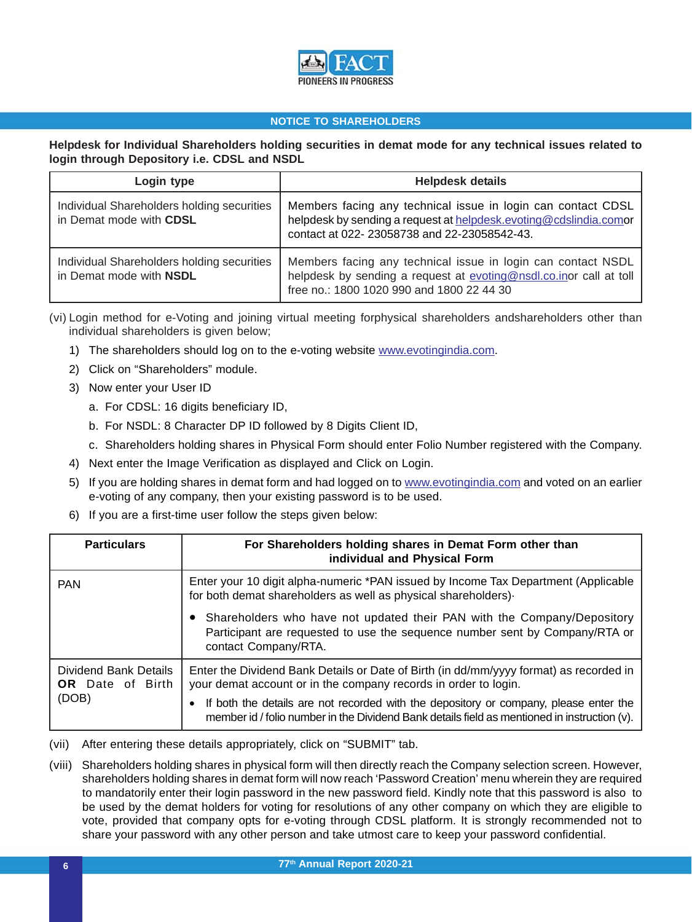

## **Helpdesk for Individual Shareholders holding securities in demat mode for any technical issues related to login through Depository i.e. CDSL and NSDL**

| Login type                                                            | <b>Helpdesk details</b>                                                                                                                                                          |  |
|-----------------------------------------------------------------------|----------------------------------------------------------------------------------------------------------------------------------------------------------------------------------|--|
| Individual Shareholders holding securities<br>in Demat mode with CDSL | Members facing any technical issue in login can contact CDSL<br>helpdesk by sending a request at helpdesk.evoting@cdslindia.comor<br>contact at 022-23058738 and 22-23058542-43. |  |
| Individual Shareholders holding securities<br>in Demat mode with NSDL | Members facing any technical issue in login can contact NSDL<br>helpdesk by sending a request at evoting@nsdl.co.inor call at toll<br>free no.: 1800 1020 990 and 1800 22 44 30  |  |

(vi) Login method for e-Voting and joining virtual meeting forphysical shareholders andshareholders other than individual shareholders is given below;

- 1) The shareholders should log on to the e-voting website www.evotingindia.com.
- 2) Click on "Shareholders" module.
- 3) Now enter your User ID
	- a. For CDSL: 16 digits beneficiary ID,
	- b. For NSDL: 8 Character DP ID followed by 8 Digits Client ID,
	- c. Shareholders holding shares in Physical Form should enter Folio Number registered with the Company.
- 4) Next enter the Image Verification as displayed and Click on Login.
- 5) If you are holding shares in demat form and had logged on to www.evotingindia.com and voted on an earlier e-voting of any company, then your existing password is to be used.
- 6) If you are a first-time user follow the steps given below:

| <b>Particulars</b>                                        | For Shareholders holding shares in Demat Form other than<br>individual and Physical Form                                                                                              |
|-----------------------------------------------------------|---------------------------------------------------------------------------------------------------------------------------------------------------------------------------------------|
| <b>PAN</b>                                                | Enter your 10 digit alpha-numeric *PAN issued by Income Tax Department (Applicable<br>for both demat shareholders as well as physical shareholders).                                  |
|                                                           | Shareholders who have not updated their PAN with the Company/Depository<br>Participant are requested to use the sequence number sent by Company/RTA or<br>contact Company/RTA.        |
| Dividend Bank Details<br><b>OR</b> Date of Birth<br>(DOB) | Enter the Dividend Bank Details or Date of Birth (in dd/mm/yyyy format) as recorded in<br>your demat account or in the company records in order to login.                             |
|                                                           | If both the details are not recorded with the depository or company, please enter the<br>member id / folio number in the Dividend Bank details field as mentioned in instruction (v). |

- (vii) After entering these details appropriately, click on "SUBMIT" tab.
- (viii) Shareholders holding shares in physical form will then directly reach the Company selection screen. However, shareholders holding shares in demat form will now reach 'Password Creation' menu wherein they are required to mandatorily enter their login password in the new password field. Kindly note that this password is also to be used by the demat holders for voting for resolutions of any other company on which they are eligible to vote, provided that company opts for e-voting through CDSL platform. It is strongly recommended not to share your password with any other person and take utmost care to keep your password confidential.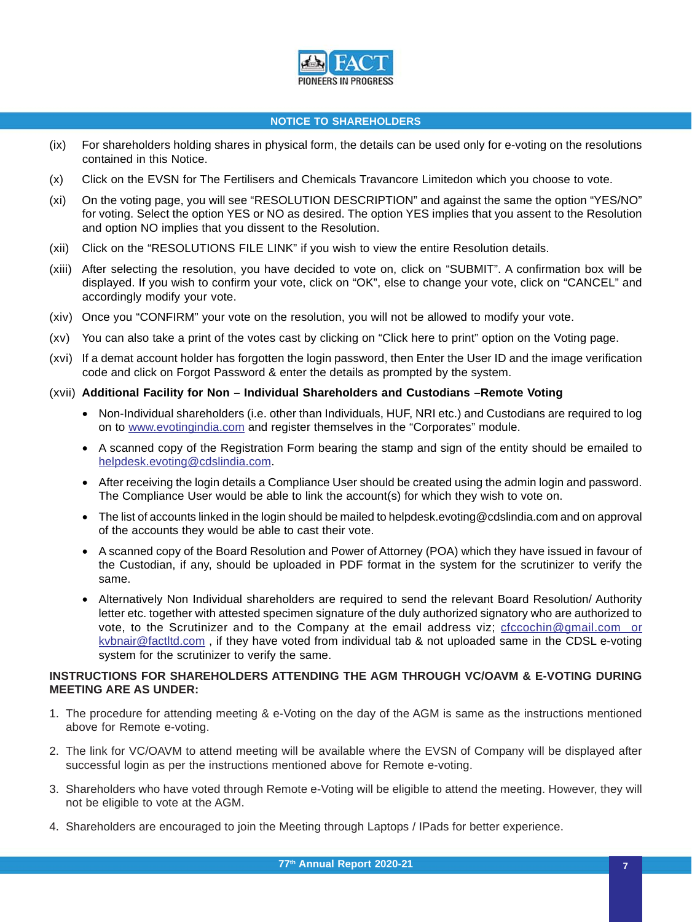

- (ix) For shareholders holding shares in physical form, the details can be used only for e-voting on the resolutions contained in this Notice.
- (x) Click on the EVSN for The Fertilisers and Chemicals Travancore Limitedon which you choose to vote.
- (xi) On the voting page, you will see "RESOLUTION DESCRIPTION" and against the same the option "YES/NO" for voting. Select the option YES or NO as desired. The option YES implies that you assent to the Resolution and option NO implies that you dissent to the Resolution.
- (xii) Click on the "RESOLUTIONS FILE LINK" if you wish to view the entire Resolution details.
- (xiii) After selecting the resolution, you have decided to vote on, click on "SUBMIT". A confirmation box will be displayed. If you wish to confirm your vote, click on "OK", else to change your vote, click on "CANCEL" and accordingly modify your vote.
- (xiv) Once you "CONFIRM" your vote on the resolution, you will not be allowed to modify your vote.
- (xv) You can also take a print of the votes cast by clicking on "Click here to print" option on the Voting page.
- (xvi) If a demat account holder has forgotten the login password, then Enter the User ID and the image verification code and click on Forgot Password & enter the details as prompted by the system.

## (xvii) **Additional Facility for Non – Individual Shareholders and Custodians –Remote Voting**

- Non-Individual shareholders (i.e. other than Individuals, HUF, NRI etc.) and Custodians are required to log on to www.evotingindia.com and register themselves in the "Corporates" module.
- A scanned copy of the Registration Form bearing the stamp and sign of the entity should be emailed to helpdesk.evoting@cdslindia.com.
- After receiving the login details a Compliance User should be created using the admin login and password. The Compliance User would be able to link the account(s) for which they wish to vote on.
- The list of accounts linked in the login should be mailed to helpdesk.evoting@cdslindia.com and on approval of the accounts they would be able to cast their vote.
- A scanned copy of the Board Resolution and Power of Attorney (POA) which they have issued in favour of the Custodian, if any, should be uploaded in PDF format in the system for the scrutinizer to verify the same.
- Alternatively Non Individual shareholders are required to send the relevant Board Resolution/ Authority letter etc. together with attested specimen signature of the duly authorized signatory who are authorized to vote, to the Scrutinizer and to the Company at the email address viz; cfccochin@gmail.com or kvbnair@factltd.com, if they have voted from individual tab & not uploaded same in the CDSL e-voting system for the scrutinizer to verify the same.

## **INSTRUCTIONS FOR SHAREHOLDERS ATTENDING THE AGM THROUGH VC/OAVM & E-VOTING DURING MEETING ARE AS UNDER:**

- 1. The procedure for attending meeting & e-Voting on the day of the AGM is same as the instructions mentioned above for Remote e-voting.
- 2. The link for VC/OAVM to attend meeting will be available where the EVSN of Company will be displayed after successful login as per the instructions mentioned above for Remote e-voting.
- 3. Shareholders who have voted through Remote e-Voting will be eligible to attend the meeting. However, they will not be eligible to vote at the AGM.
- 4. Shareholders are encouraged to join the Meeting through Laptops / IPads for better experience.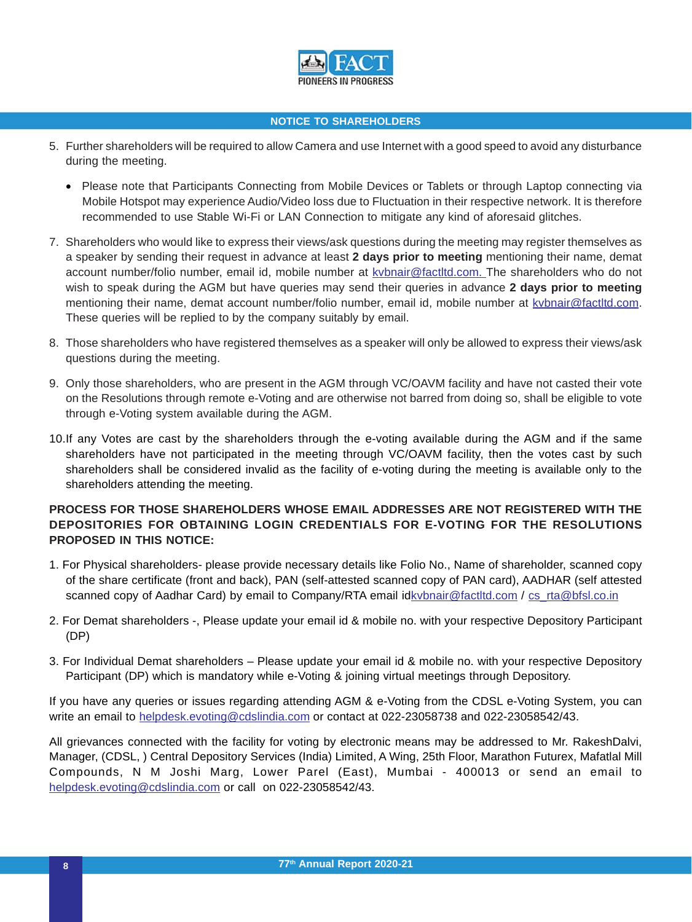

- 5. Further shareholders will be required to allow Camera and use Internet with a good speed to avoid any disturbance during the meeting.
	- Please note that Participants Connecting from Mobile Devices or Tablets or through Laptop connecting via Mobile Hotspot may experience Audio/Video loss due to Fluctuation in their respective network. It is therefore recommended to use Stable Wi-Fi or LAN Connection to mitigate any kind of aforesaid glitches.
- 7. Shareholders who would like to express their views/ask questions during the meeting may register themselves as a speaker by sending their request in advance at least **2 days prior to meeting** mentioning their name, demat account number/folio number, email id, mobile number at kvbnair@factltd.com. The shareholders who do not wish to speak during the AGM but have queries may send their queries in advance **2 days prior to meeting** mentioning their name, demat account number/folio number, email id, mobile number at kvbnair@factltd.com. These queries will be replied to by the company suitably by email.
- 8. Those shareholders who have registered themselves as a speaker will only be allowed to express their views/ask questions during the meeting.
- 9. Only those shareholders, who are present in the AGM through VC/OAVM facility and have not casted their vote on the Resolutions through remote e-Voting and are otherwise not barred from doing so, shall be eligible to vote through e-Voting system available during the AGM.
- 10.If any Votes are cast by the shareholders through the e-voting available during the AGM and if the same shareholders have not participated in the meeting through VC/OAVM facility, then the votes cast by such shareholders shall be considered invalid as the facility of e-voting during the meeting is available only to the shareholders attending the meeting.

# **PROCESS FOR THOSE SHAREHOLDERS WHOSE EMAIL ADDRESSES ARE NOT REGISTERED WITH THE DEPOSITORIES FOR OBTAINING LOGIN CREDENTIALS FOR E-VOTING FOR THE RESOLUTIONS PROPOSED IN THIS NOTICE:**

- 1. For Physical shareholders- please provide necessary details like Folio No., Name of shareholder, scanned copy of the share certificate (front and back), PAN (self-attested scanned copy of PAN card), AADHAR (self attested scanned copy of Aadhar Card) by email to Company/RTA email idkvbnair@factltd.com / cs\_rta@bfsl.co.in
- 2. For Demat shareholders -, Please update your email id & mobile no. with your respective Depository Participant (DP)
- 3. For Individual Demat shareholders Please update your email id & mobile no. with your respective Depository Participant (DP) which is mandatory while e-Voting & joining virtual meetings through Depository.

If you have any queries or issues regarding attending AGM & e-Voting from the CDSL e-Voting System, you can write an email to helpdesk.evoting@cdslindia.com or contact at 022-23058738 and 022-23058542/43.

All grievances connected with the facility for voting by electronic means may be addressed to Mr. RakeshDalvi, Manager, (CDSL, ) Central Depository Services (India) Limited, A Wing, 25th Floor, Marathon Futurex, Mafatlal Mill Compounds, N M Joshi Marg, Lower Parel (East), Mumbai - 400013 or send an email to helpdesk.evoting@cdslindia.com or call on 022-23058542/43.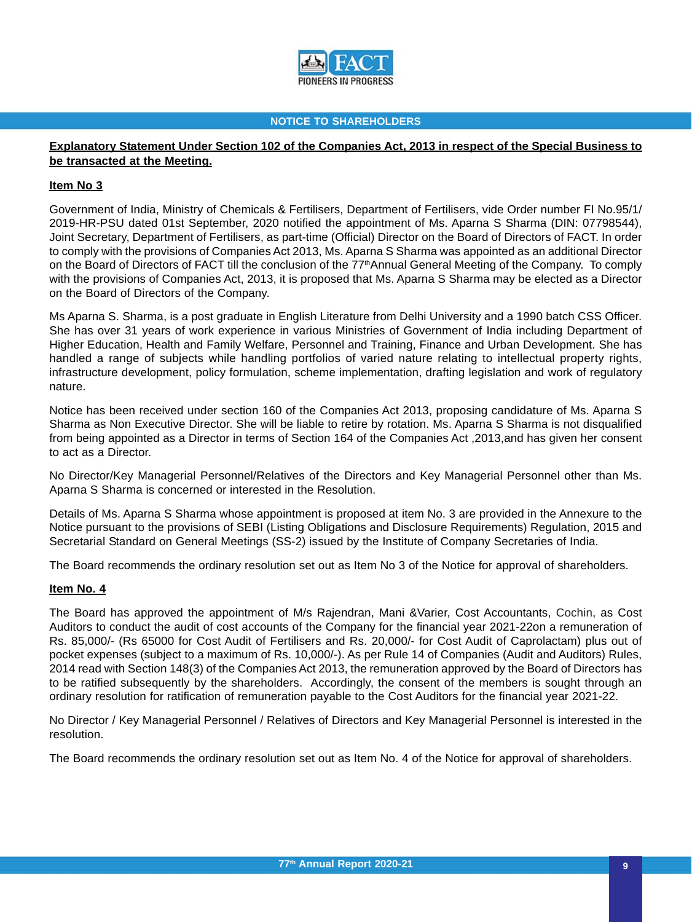

# **Explanatory Statement Under Section 102 of the Companies Act, 2013 in respect of the Special Business to be transacted at the Meeting.**

## **Item No 3**

Government of India, Ministry of Chemicals & Fertilisers, Department of Fertilisers, vide Order number FI No.95/1/ 2019-HR-PSU dated 01st September, 2020 notified the appointment of Ms. Aparna S Sharma (DIN: 07798544), Joint Secretary, Department of Fertilisers, as part-time (Official) Director on the Board of Directors of FACT. In order to comply with the provisions of Companies Act 2013, Ms. Aparna S Sharma was appointed as an additional Director on the Board of Directors of FACT till the conclusion of the 77<sup>th</sup>Annual General Meeting of the Company. To comply with the provisions of Companies Act, 2013, it is proposed that Ms. Aparna S Sharma may be elected as a Director on the Board of Directors of the Company.

Ms Aparna S. Sharma, is a post graduate in English Literature from Delhi University and a 1990 batch CSS Officer. She has over 31 years of work experience in various Ministries of Government of India including Department of Higher Education, Health and Family Welfare, Personnel and Training, Finance and Urban Development. She has handled a range of subjects while handling portfolios of varied nature relating to intellectual property rights, infrastructure development, policy formulation, scheme implementation, drafting legislation and work of regulatory nature.

Notice has been received under section 160 of the Companies Act 2013, proposing candidature of Ms. Aparna S Sharma as Non Executive Director. She will be liable to retire by rotation. Ms. Aparna S Sharma is not disqualified from being appointed as a Director in terms of Section 164 of the Companies Act ,2013,and has given her consent to act as a Director.

No Director/Key Managerial Personnel/Relatives of the Directors and Key Managerial Personnel other than Ms. Aparna S Sharma is concerned or interested in the Resolution.

Details of Ms. Aparna S Sharma whose appointment is proposed at item No. 3 are provided in the Annexure to the Notice pursuant to the provisions of SEBI (Listing Obligations and Disclosure Requirements) Regulation, 2015 and Secretarial Standard on General Meetings (SS-2) issued by the Institute of Company Secretaries of India.

The Board recommends the ordinary resolution set out as Item No 3 of the Notice for approval of shareholders.

## **Item No. 4**

The Board has approved the appointment of M/s Rajendran, Mani &Varier, Cost Accountants, Cochin, as Cost Auditors to conduct the audit of cost accounts of the Company for the financial year 2021-22on a remuneration of Rs. 85,000/- (Rs 65000 for Cost Audit of Fertilisers and Rs. 20,000/- for Cost Audit of Caprolactam) plus out of pocket expenses (subject to a maximum of Rs. 10,000/-). As per Rule 14 of Companies (Audit and Auditors) Rules, 2014 read with Section 148(3) of the Companies Act 2013, the remuneration approved by the Board of Directors has to be ratified subsequently by the shareholders. Accordingly, the consent of the members is sought through an ordinary resolution for ratification of remuneration payable to the Cost Auditors for the financial year 2021-22.

No Director / Key Managerial Personnel / Relatives of Directors and Key Managerial Personnel is interested in the resolution.

The Board recommends the ordinary resolution set out as Item No. 4 of the Notice for approval of shareholders.